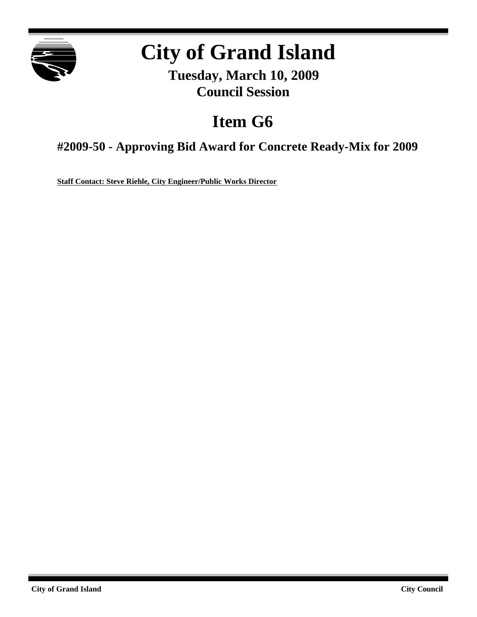

# **City of Grand Island**

**Tuesday, March 10, 2009 Council Session**

## **Item G6**

**#2009-50 - Approving Bid Award for Concrete Ready-Mix for 2009**

**Staff Contact: Steve Riehle, City Engineer/Public Works Director**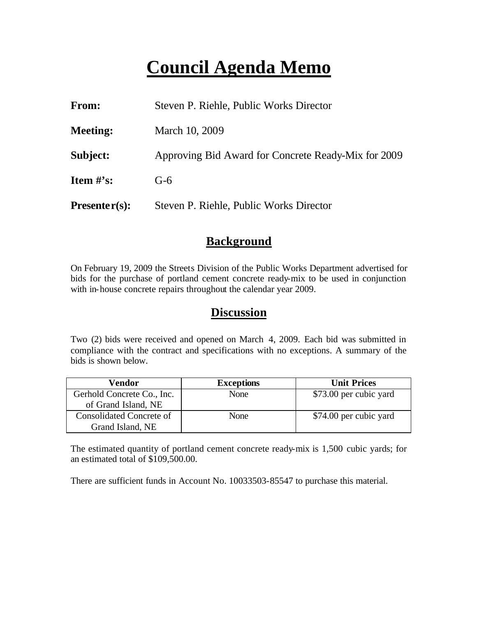## **Council Agenda Memo**

| From:           | Steven P. Riehle, Public Works Director             |  |
|-----------------|-----------------------------------------------------|--|
| <b>Meeting:</b> | March 10, 2009                                      |  |
| Subject:        | Approving Bid Award for Concrete Ready-Mix for 2009 |  |
| Item $\#$ 's:   | $G-6$                                               |  |
| $Presenter(s):$ | Steven P. Riehle, Public Works Director             |  |

### **Background**

On February 19, 2009 the Streets Division of the Public Works Department advertised for bids for the purchase of portland cement concrete ready-mix to be used in conjunction with in-house concrete repairs throughout the calendar year 2009.

### **Discussion**

Two (2) bids were received and opened on March 4, 2009. Each bid was submitted in compliance with the contract and specifications with no exceptions. A summary of the bids is shown below.

| Vendor                          | <b>Exceptions</b> | <b>Unit Prices</b>     |
|---------------------------------|-------------------|------------------------|
| Gerhold Concrete Co., Inc.      | None              | \$73.00 per cubic yard |
| of Grand Island, NE             |                   |                        |
| <b>Consolidated Concrete of</b> | None              | \$74.00 per cubic yard |
| Grand Island, NE                |                   |                        |

The estimated quantity of portland cement concrete ready-mix is 1,500 cubic yards; for an estimated total of \$109,500.00.

There are sufficient funds in Account No. 10033503-85547 to purchase this material.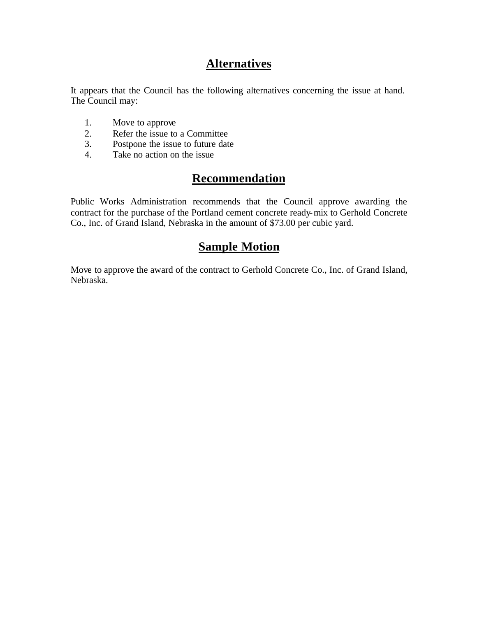## **Alternatives**

It appears that the Council has the following alternatives concerning the issue at hand. The Council may:

- 1. Move to approve
- 2. Refer the issue to a Committee<br>3. Postpone the issue to future date
- Postpone the issue to future date
- 4. Take no action on the issue

## **Recommendation**

Public Works Administration recommends that the Council approve awarding the contract for the purchase of the Portland cement concrete ready-mix to Gerhold Concrete Co., Inc. of Grand Island, Nebraska in the amount of \$73.00 per cubic yard.

### **Sample Motion**

Move to approve the award of the contract to Gerhold Concrete Co., Inc. of Grand Island, Nebraska.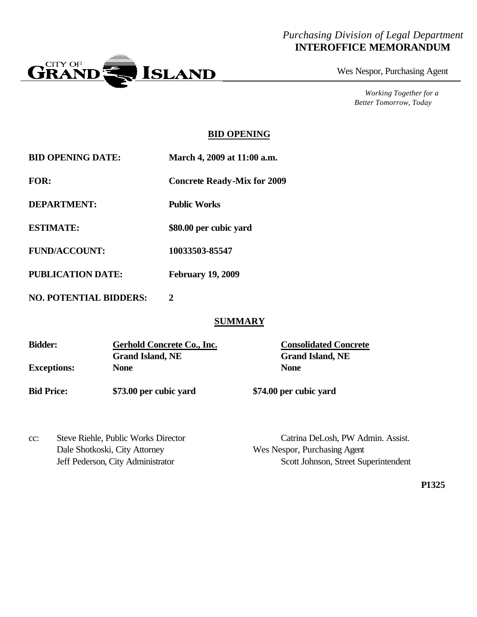#### *Purchasing Division of Legal Department* **INTEROFFICE MEMORANDUM**



Wes Nespor, Purchasing Agent

*Working Together for a Better Tomorrow, Today*

#### **BID OPENING**

|  | <b>BID OPENING DATE:</b> | March 4, 2009 at 11:00 a.m. |
|--|--------------------------|-----------------------------|
|--|--------------------------|-----------------------------|

**FOR: Concrete Ready-Mix for 2009**

**DEPARTMENT: Public Works**

**ESTIMATE: \$80.00 per cubic yard**

**FUND/ACCOUNT: 10033503-85547**

**PUBLICATION DATE: February 19, 2009**

**NO. POTENTIAL BIDDERS: 2**

#### **SUMMARY**

| <b>Bidder:</b>     | Gerhold Concrete Co., Inc. | <b>Consolidated Concrete</b> |
|--------------------|----------------------------|------------------------------|
|                    | <b>Grand Island, NE</b>    | <b>Grand Island, NE</b>      |
| <b>Exceptions:</b> | None                       | <b>None</b>                  |
| <b>Bid Price:</b>  | \$73.00 per cubic yard     | \$74.00 per cubic yard       |

cc: Steve Riehle, Public Works Director Catrina DeLosh, PW Admin. Assist. Dale Shotkoski, City Attorney Wes Nespor, Purchasing Agent

Jeff Pederson, City Administrator Scott Johnson, Street Superintendent

**P1325**